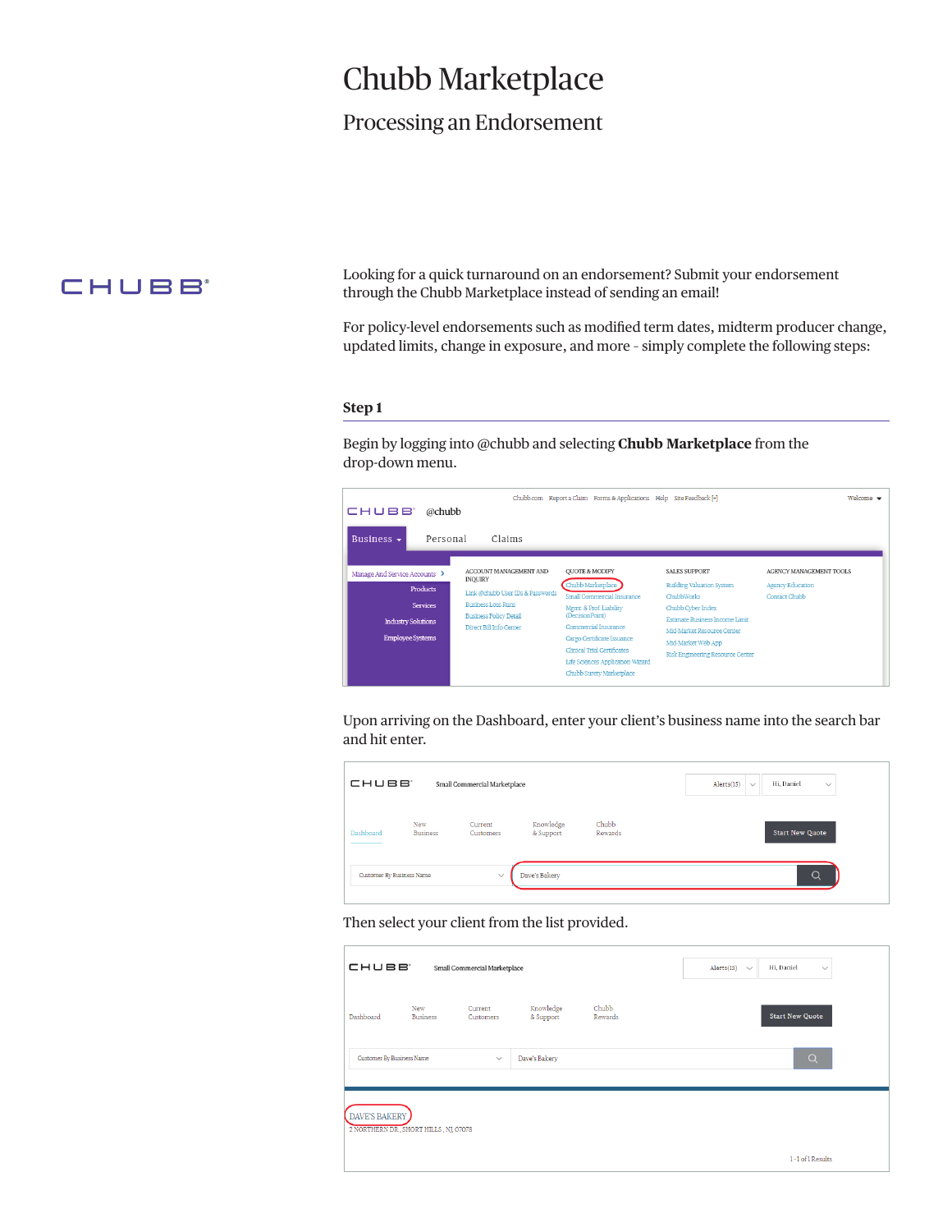# Chubb Marketplace

# Processing an Endorsement

# CHUBB<sup>®</sup>

Looking for a quick turnaround on an endorsement? Submit your endorsement through the Chubb Marketplace instead of sending an email!

For policy-level endorsements such as modified term dates, midterm producer change, updated limits, change in exposure, and more – simply complete the following steps:

### **Step 1**

Begin by logging into @chubb and selecting **Chubb Marketplace** from the drop-down menu.

|                                              |                                                                                       | Chubb.com Report a Claim Forms & Applications Help Site Feedback [+] |                                                                                             | Welcome $\blacktriangledown$             |
|----------------------------------------------|---------------------------------------------------------------------------------------|----------------------------------------------------------------------|---------------------------------------------------------------------------------------------|------------------------------------------|
| CHUBB <sup>®</sup><br>@chubb                 |                                                                                       |                                                                      |                                                                                             |                                          |
| Personal<br>Business $\sim$                  | Claims                                                                                |                                                                      |                                                                                             |                                          |
| Manage And Service Accounts >                | ACCOUNT MANAGEMENT AND<br><b>INQUIRY</b>                                              | <b>OUOTE &amp; MODIFY</b>                                            | <b>SALES SUPPORT</b>                                                                        | AGENCY MANAGEMENT TOOLS                  |
| <b>Products</b>                              | Link @chubb User IDs & Passwords                                                      | Chubb Marketplace<br>Small Commercial Insurance                      | <b>Building Valuation System</b><br>ChubbWorks                                              | <b>Agency Education</b><br>Contact Chubb |
| <b>Services</b><br><b>Industry Solutions</b> | <b>Business Loss Runs</b><br><b>Business Policy Detail</b><br>Direct Bill Info Center | Mgmt. & Prof. Liability<br>(DecisionPoint)<br>Commercial Insurance   | Chubb Cyber Index<br><b>Estimate Business Income Limit</b>                                  |                                          |
| <b>Employee Systems</b>                      |                                                                                       |                                                                      | Mid-Market Resource Center<br>Mid-Market Web App<br><b>Risk Engineering Resource Center</b> |                                          |

Upon arriving on the Dashboard, enter your client's business name into the search bar and hit enter.

| CHUBB <sup>®</sup>        |                        | Small Commercial Marketplace |                        |                  | Hi, Daniel<br>Alerts(15)<br>$\checkmark$<br>$\checkmark$ |
|---------------------------|------------------------|------------------------------|------------------------|------------------|----------------------------------------------------------|
| Dashboard                 | New<br><b>Business</b> | Current<br>Customers         | Knowledge<br>& Support | Chubb<br>Rewards | <b>Start New Quote</b>                                   |
| Customer By Business Name |                        | $\checkmark$                 | Dave's Bakery          |                  | Q                                                        |

Then select your client from the list provided.

| CHUBB <sup>®</sup>               |                                       | Small Commercial Marketplace |                        |                  | Alerts(15)<br>$\checkmark$ | Hi, Daniel<br>$\checkmark$ |  |
|----------------------------------|---------------------------------------|------------------------------|------------------------|------------------|----------------------------|----------------------------|--|
| Dashboard                        | New<br><b>Business</b>                | Current<br>Customers         | Knowledge<br>& Support | Chubb<br>Rewards |                            | <b>Start New Quote</b>     |  |
| <b>Customer By Business Name</b> |                                       | $\checkmark$                 | Dave's Bakery          |                  |                            | Q                          |  |
| <b>DAVE'S BAKERY</b>             | 2 NORTHERN DR, SHORT HILLS, NJ, 07078 |                              |                        |                  |                            |                            |  |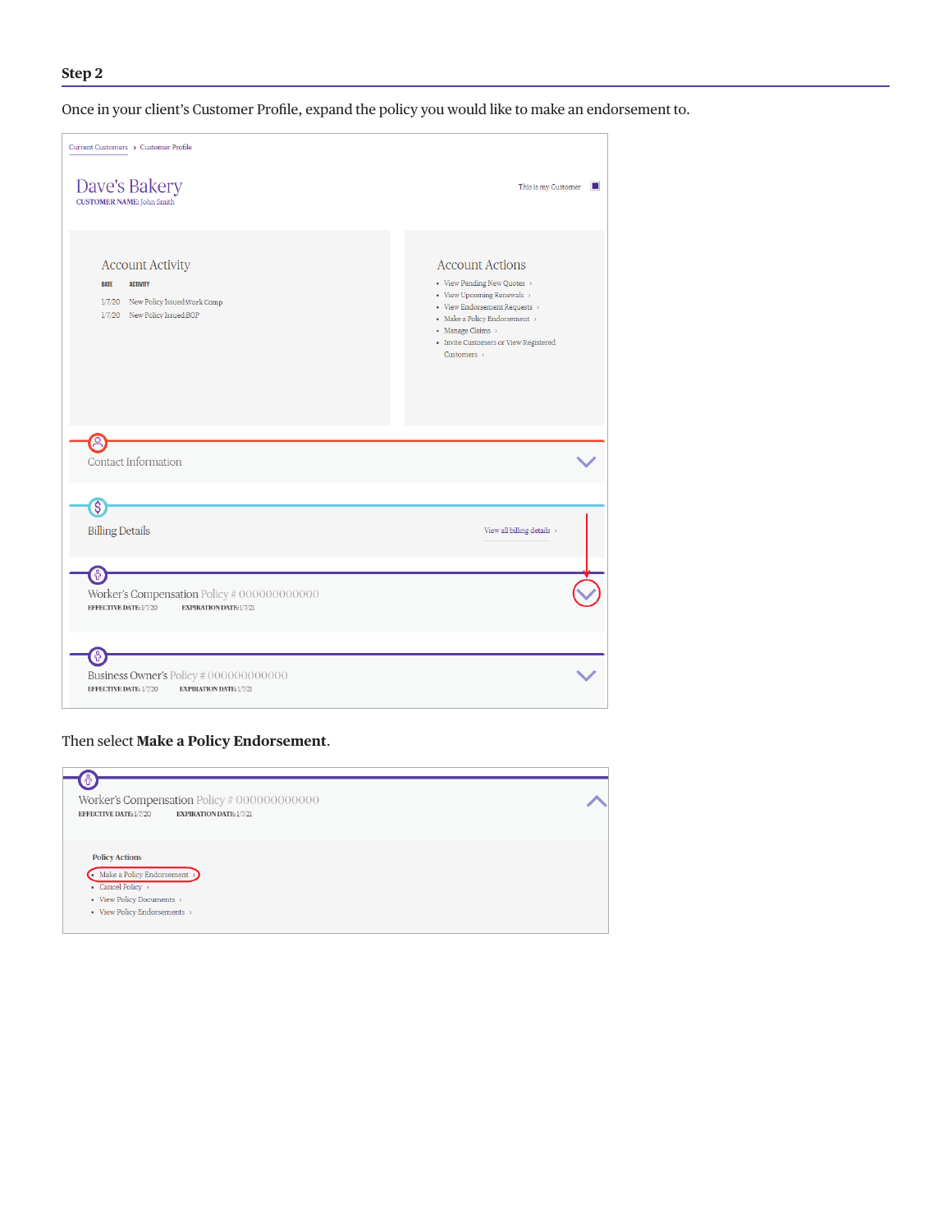# **Step 2**

Once in your client's Customer Profile, expand the policy you would like to make an endorsement to.

| Current Customers > Customer Profile                                                                                      |                                                                                                                                                                                                                                              |
|---------------------------------------------------------------------------------------------------------------------------|----------------------------------------------------------------------------------------------------------------------------------------------------------------------------------------------------------------------------------------------|
| Dave's Bakery<br><b>CUSTOMER NAME: John Smith</b>                                                                         | This is my Customer<br><b>D</b>                                                                                                                                                                                                              |
| <b>Account Activity</b><br>DATE<br><b>ACTIVITY</b><br>1/7/20 New Policy Issued: Work Comp<br>1/7/20 New Policy Issued:BOP | <b>Account Actions</b><br>• View Pending New Quotes<br>• View Upcoming Renewals ><br>• View Endorsement Requests ><br>- Make a Policy Endorsement $\rightarrow$<br>• Manage Claims ><br>• Invite Customers or View Registered<br>Customers > |
| $\beta$<br>Contact Information                                                                                            |                                                                                                                                                                                                                                              |
| $\mathbf{\hat{s}}$<br><b>Billing Details</b>                                                                              | View all billing details $\rightarrow$                                                                                                                                                                                                       |
| 0<br>Worker's Compensation Policy # 000000000000<br>EFFECTIVE DATE: 1/7/20<br>EXPIRATION DATE: 1/7/21                     |                                                                                                                                                                                                                                              |
| Ť<br>Business Owner's Policy #000000000000<br><b>EXPIRATION DATE: 1/7/21</b><br>EFFECTIVE DATE: 1/7/20                    |                                                                                                                                                                                                                                              |

# Then select **Make a Policy Endorsement**.

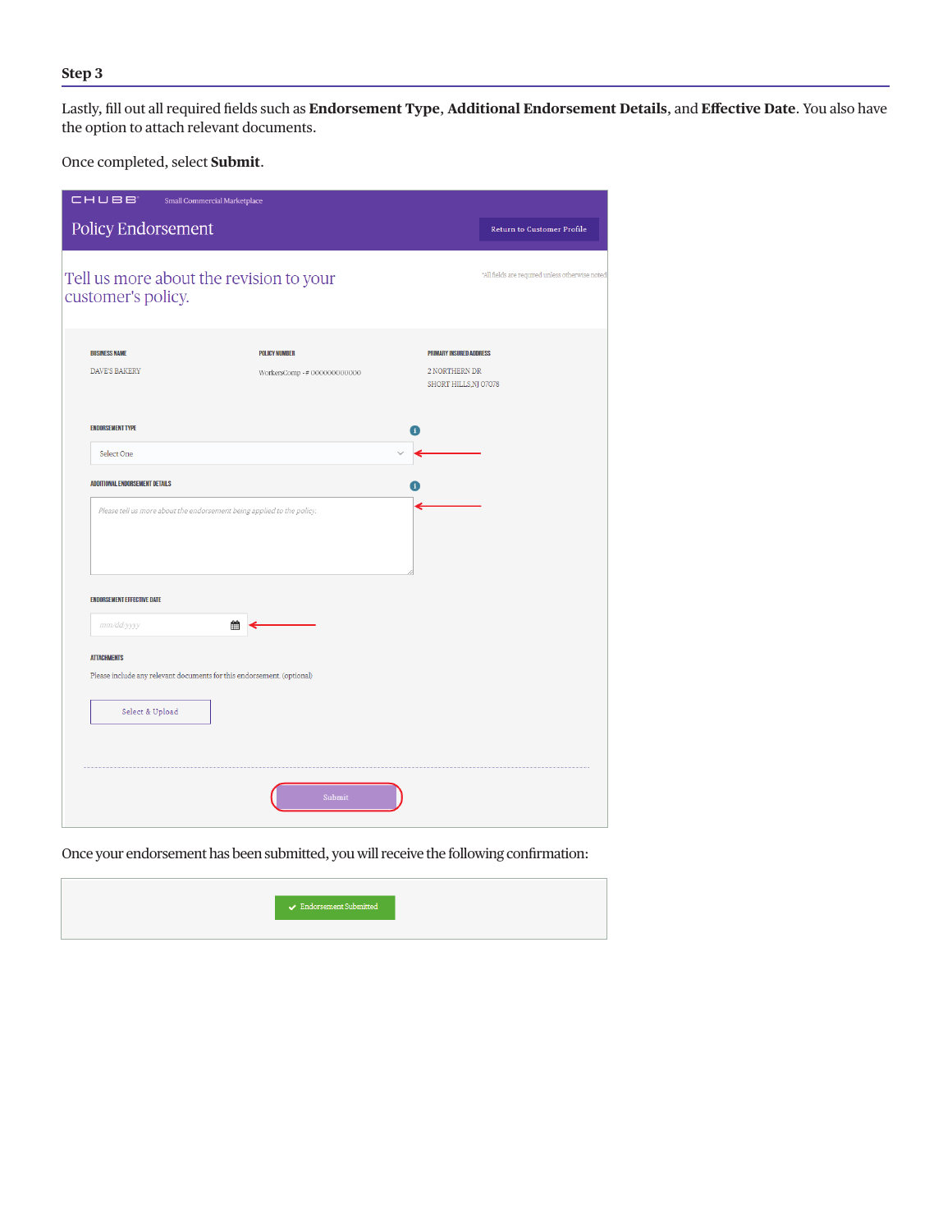# **Step 3**

Lastly, fill out all required fields such as **Endorsement Type**, **Additional Endorsement Details**, and **Effective Date**. You also have the option to attach relevant documents.

Once completed, select **Submit**.

| <b>CHUBB</b><br>Small Commercial Marketplace                  |                                                                        |                                                      |                                                                          |                                                 |  |
|---------------------------------------------------------------|------------------------------------------------------------------------|------------------------------------------------------|--------------------------------------------------------------------------|-------------------------------------------------|--|
| Policy Endorsement                                            |                                                                        |                                                      |                                                                          | <b>Return to Customer Profile</b>               |  |
| Tell us more about the revision to your<br>customer's policy. |                                                                        |                                                      |                                                                          | *All fields are required unless otherwise noted |  |
|                                                               |                                                                        |                                                      |                                                                          |                                                 |  |
| <b>BUSINESS NAME</b><br>DAVE'S BAKERY                         |                                                                        | <b>POLICY NUMBER</b><br>WorkersComp - # 000000000000 | <b>PRIMARY INSURED ADDRESS</b><br>2 NORTHERN DR<br>SHORT HILLS, NJ 07078 |                                                 |  |
| <b>ENDORSEMENT TYPE</b>                                       |                                                                        |                                                      | n                                                                        |                                                 |  |
| Select One                                                    |                                                                        |                                                      |                                                                          |                                                 |  |
| <b>ADDITIONAL ENDORSEMENT DETAILS</b>                         |                                                                        |                                                      |                                                                          |                                                 |  |
|                                                               | Please tell us more about the endorsement being applied to the policy. |                                                      |                                                                          |                                                 |  |
| <b>ENDORSEMENT EFFECTIVE DATE</b>                             |                                                                        |                                                      |                                                                          |                                                 |  |
| mm/dd/yyyy                                                    | 雦                                                                      |                                                      |                                                                          |                                                 |  |
| <b>ATTACHMENTS</b>                                            |                                                                        |                                                      |                                                                          |                                                 |  |
|                                                               | Please include any relevant documents for this endorsement. (optional) |                                                      |                                                                          |                                                 |  |
| Select & Upload                                               |                                                                        |                                                      |                                                                          |                                                 |  |
|                                                               |                                                                        |                                                      |                                                                          |                                                 |  |
|                                                               |                                                                        | Submit                                               |                                                                          |                                                 |  |

Once your endorsement has been submitted, you will receive the following confirmation: